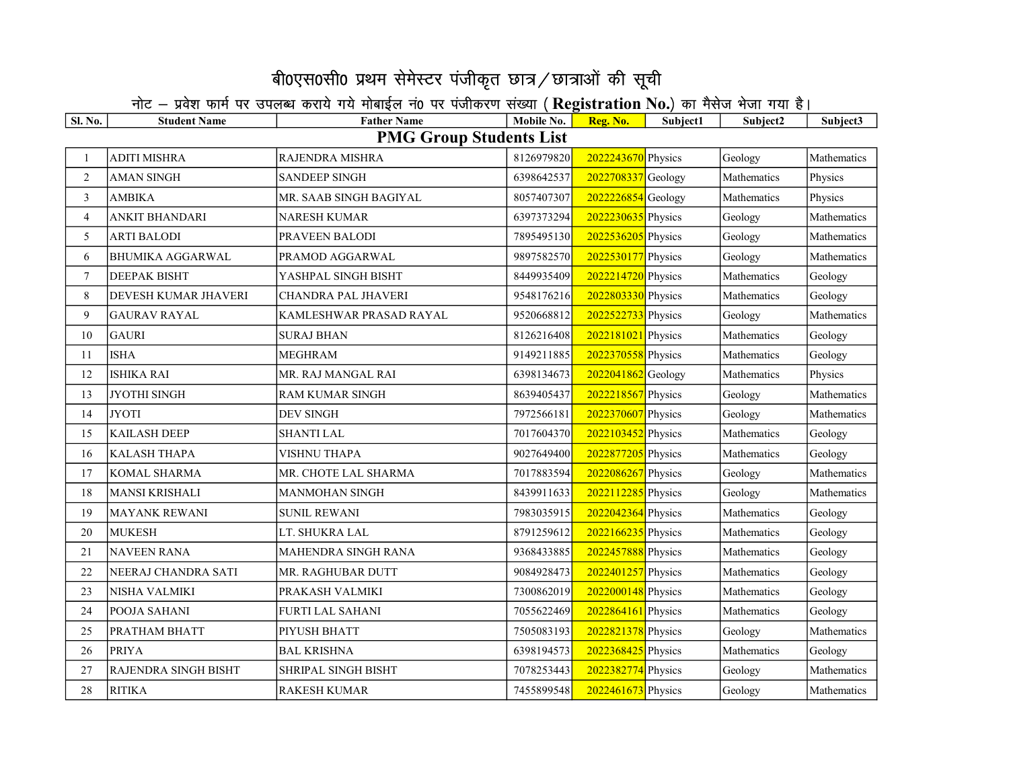## बी0एस0सी0 प्रथम सेमेस्टर पंजीकृत छात्र / छात्राओं की सूची

## नोट – प्रवेश फार्म पर उपलब्ध कराये गये मोबाईल नं0 पर पंजीकरण संख्या (Registration No.) का मैसेज भेजा गया है।

| <b>Sl. No.</b>                 | <b>Student Name</b>         | <b>Father Name</b>         | Mobile No. | Reg. No.           | Subject1 | Subject2    | Subject3    |  |  |  |
|--------------------------------|-----------------------------|----------------------------|------------|--------------------|----------|-------------|-------------|--|--|--|
| <b>PMG Group Students List</b> |                             |                            |            |                    |          |             |             |  |  |  |
| $\mathbf{1}$                   | <b>ADITI MISHRA</b>         | <b>RAJENDRA MISHRA</b>     | 8126979820 | 2022243670 Physics |          | Geology     | Mathematics |  |  |  |
| $\overline{2}$                 | <b>AMAN SINGH</b>           | <b>SANDEEP SINGH</b>       | 6398642537 | 2022708337 Geology |          | Mathematics | Physics     |  |  |  |
| 3                              | AMBIKA                      | MR. SAAB SINGH BAGIYAL     | 8057407307 | 2022226854 Geology |          | Mathematics | Physics     |  |  |  |
| $\overline{4}$                 | <b>ANKIT BHANDARI</b>       | NARESH KUMAR               | 6397373294 | 2022230635 Physics |          | Geology     | Mathematics |  |  |  |
| 5                              | <b>ARTI BALODI</b>          | PRAVEEN BALODI             | 7895495130 | 2022536205 Physics |          | Geology     | Mathematics |  |  |  |
| 6                              | <b>BHUMIKA AGGARWAL</b>     | PRAMOD AGGARWAL            | 9897582570 | 2022530177 Physics |          | Geology     | Mathematics |  |  |  |
| $\tau$                         | <b>DEEPAK BISHT</b>         | YASHPAL SINGH BISHT        | 8449935409 | 2022214720 Physics |          | Mathematics | Geology     |  |  |  |
| 8                              | DEVESH KUMAR JHAVERI        | CHANDRA PAL JHAVERI        | 9548176216 | 2022803330 Physics |          | Mathematics | Geology     |  |  |  |
| 9                              | <b>GAURAV RAYAL</b>         | KAMLESHWAR PRASAD RAYAL    | 9520668812 | 2022522733 Physics |          | Geology     | Mathematics |  |  |  |
| 10                             | <b>GAURI</b>                | <b>SURAJ BHAN</b>          | 8126216408 | 2022181021 Physics |          | Mathematics | Geology     |  |  |  |
| 11                             | <b>ISHA</b>                 | <b>MEGHRAM</b>             | 9149211885 | 2022370558 Physics |          | Mathematics | Geology     |  |  |  |
| 12                             | <b>ISHIKA RAI</b>           | MR. RAJ MANGAL RAI         | 6398134673 | 2022041862 Geology |          | Mathematics | Physics     |  |  |  |
| 13                             | JYOTHI SINGH                | <b>RAM KUMAR SINGH</b>     | 8639405437 | 2022218567 Physics |          | Geology     | Mathematics |  |  |  |
| 14                             | <b>JYOTI</b>                | <b>DEV SINGH</b>           | 7972566181 | 2022370607 Physics |          | Geology     | Mathematics |  |  |  |
| 15                             | <b>KAILASH DEEP</b>         | <b>SHANTI LAL</b>          | 7017604370 | 2022103452 Physics |          | Mathematics | Geology     |  |  |  |
| 16                             | <b>KALASH THAPA</b>         | VISHNU THAPA               | 9027649400 | 2022877205 Physics |          | Mathematics | Geology     |  |  |  |
| 17                             | <b>KOMAL SHARMA</b>         | MR. CHOTE LAL SHARMA       | 7017883594 | 2022086267 Physics |          | Geology     | Mathematics |  |  |  |
| 18                             | <b>MANSI KRISHALI</b>       | MANMOHAN SINGH             | 8439911633 | 2022112285 Physics |          | Geology     | Mathematics |  |  |  |
| 19                             | <b>MAYANK REWANI</b>        | <b>SUNIL REWANI</b>        | 7983035915 | 2022042364 Physics |          | Mathematics | Geology     |  |  |  |
| 20                             | <b>MUKESH</b>               | LT. SHUKRA LAL             | 8791259612 | 2022166235 Physics |          | Mathematics | Geology     |  |  |  |
| 21                             | <b>NAVEEN RANA</b>          | MAHENDRA SINGH RANA        | 9368433885 | 2022457888 Physics |          | Mathematics | Geology     |  |  |  |
| 22                             | NEERAJ CHANDRA SATI         | MR. RAGHUBAR DUTT          | 9084928473 | 2022401257 Physics |          | Mathematics | Geology     |  |  |  |
| 23                             | <b>NISHA VALMIKI</b>        | PRAKASH VALMIKI            | 7300862019 | 2022000148 Physics |          | Mathematics | Geology     |  |  |  |
| 24                             | POOJA SAHANI                | <b>FURTI LAL SAHANI</b>    | 7055622469 | 2022864161 Physics |          | Mathematics | Geology     |  |  |  |
| 25                             | PRATHAM BHATT               | PIYUSH BHATT               | 7505083193 | 2022821378 Physics |          | Geology     | Mathematics |  |  |  |
| 26                             | <b>PRIYA</b>                | <b>BAL KRISHNA</b>         | 6398194573 | 2022368425 Physics |          | Mathematics | Geology     |  |  |  |
| 27                             | <b>RAJENDRA SINGH BISHT</b> | <b>SHRIPAL SINGH BISHT</b> | 7078253443 | 2022382774 Physics |          | Geology     | Mathematics |  |  |  |
| 28                             | <b>RITIKA</b>               | <b>RAKESH KUMAR</b>        | 7455899548 | 2022461673 Physics |          | Geology     | Mathematics |  |  |  |